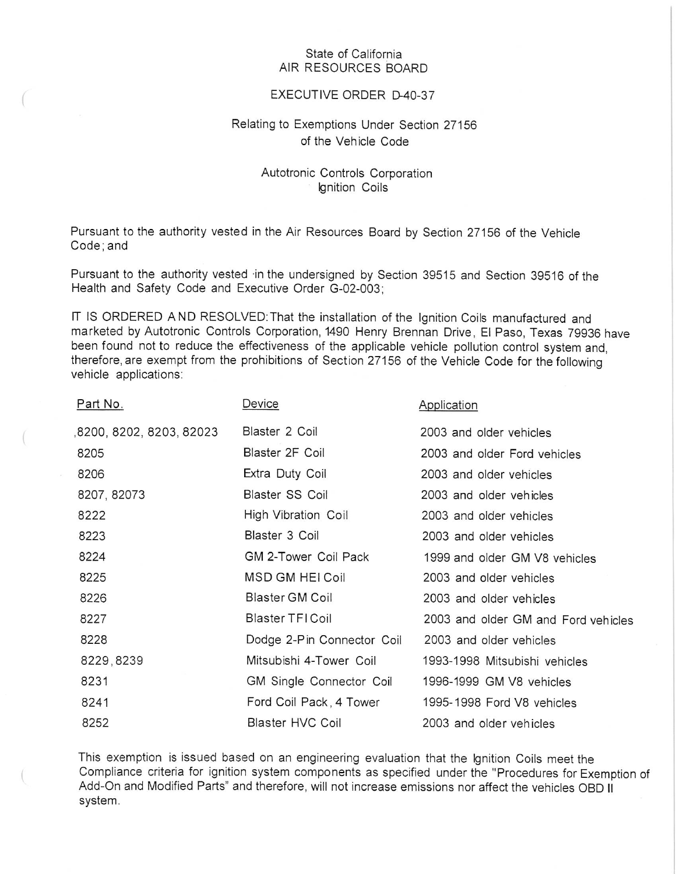## State of California AIR RESOURCES BOARD

## EXECUTIVE ORDER D-40-37

## Relating to Exemptions Under Section 27156 of the Vehicle Code

## Autotronic Controls Corporation Ignition Coils

Pursuant to the authority vested in the Air Resources Board by Section 27156 of the Vehicle Code; and

Pursuant to the authority vested in the undersigned by Section 39515 and Section 39516 of the Health and Safety Code and Executive Order G-02-003;

IT IS ORDERED AND RESOLVED: That the installation of the Ignition Coils manufactured and marketed by Autotronic Controls Corporation, 1490 Henry Brennan Drive, El Paso, Texas 79936 have been found not to reduce the effectiveness of the applicable vehicle pollution control system and, therefore, are exempt from the prohibitions of Section 27156 of the Vehicle Code for the following vehicle applications:

| <u>Part No.</u>         | <u>Device</u>                   | Application                         |
|-------------------------|---------------------------------|-------------------------------------|
| 8200, 8202, 8203, 82023 | Blaster 2 Coil                  | 2003 and older vehicles             |
| 8205                    | Blaster 2F Coil                 | 2003 and older Ford vehicles        |
| 8206                    | Extra Duty Coil                 | 2003 and older vehicles             |
| 8207, 82073             | Blaster SS Coil                 | 2003 and older vehicles             |
| 8222                    | High Vibration Coil             | 2003 and older vehicles             |
| 8223                    | Blaster 3 Coil                  | 2003 and older vehicles             |
| 8224                    | GM 2-Tower Coil Pack            | 1999 and older GM V8 vehicles       |
| 8225                    | <b>MSD GM HEI Coil</b>          | 2003 and older vehicles             |
| 8226                    | Blaster GM Coil                 | 2003 and older vehicles             |
| 8227                    | Blaster TFI Coil                | 2003 and older GM and Ford vehicles |
| 8228                    | Dodge 2-Pin Connector Coil      | 2003 and older vehicles             |
| 8229, 8239              | Mitsubishi 4-Tower Coil         | 1993-1998 Mitsubishi vehicles       |
| 8231                    | <b>GM Single Connector Coil</b> | 1996-1999 GM V8 vehicles            |
| 8241                    | Ford Coil Pack, 4 Tower         | 1995-1998 Ford V8 vehicles          |
| 8252                    | Blaster HVC Coil                | 2003 and older vehicles             |

This exemption is issued based on an engineering evaluation that the Ignition Coils meet the Compliance criteria for ignition system components as specified under the "Procedures for Exemption of Add-On and Modified Parts" and therefore, will not increase emissions nor affect the vehicles OBD II system.